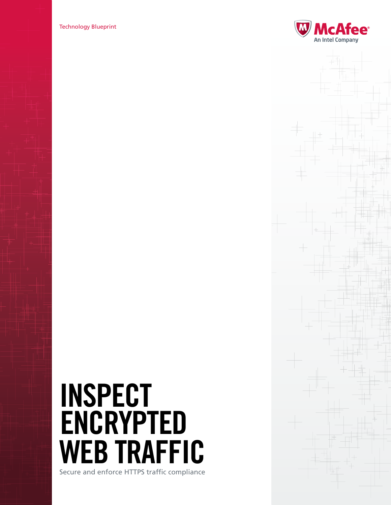Technology Blueprint



# Inspect **ENCRYPTED** EB TRAFFIC

Secure and enforce HTTPS traffic compliance

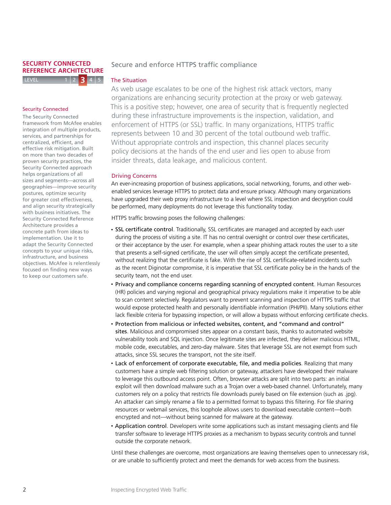#### **LEVEL SECURITY CONNECTED REFERENCE ARCHITECTURE 3**

# Secure and enforce HTTPS traffic compliance

# The Situation

## Security Connected

on more than two decades of services, and partnerships for centranzed, emclent, and<br>effective risk mitigation. Built concrete path from ideas to with business initiatives. The Security Connected Reference The Security Connected framework from McAfee enables integration of multiple products, centralized, efficient, and proven security practices, the Security Connected approach helps organizations of all sizes and segments—across all geographies—improve security postures, optimize security for greater cost effectiveness, and align security strategically Architecture provides a implementation. Use it to adapt the Security Connected concepts to your unique risks, infrastructure, and business objectives. McAfee is relentlessly focused on finding new ways to keep our customers safe.

As web usage escalates to be one of the highest risk attack vectors, many organizations are enhancing security protection at the proxy or web gateway. This is a positive step; however, one area of security that is frequently neglected during these infrastructure improvements is the inspection, validation, and enforcement of HTTPS (or SSL) traffic. In many organizations, HTTPS traffic represents between 10 and 30 percent of the total outbound web traffic. Without appropriate controls and inspection, this channel places security policy decisions at the hands of the end user and lies open to abuse from insider threats, data leakage, and malicious content.

# Driving Concerns

An ever-increasing proportion of business applications, social networking, forums, and other webenabled services leverage HTTPS to protect data and ensure privacy. Although many organizations have upgraded their web proxy infrastructure to a level where SSL inspection and decryption could be performed, many deployments do not leverage this functionality today.

HTTPS traffic browsing poses the following challenges:

- SSL certificate control. Traditionally, SSL certificates are managed and accepted by each user during the process of visiting a site. IT has no central oversight or control over these certificates, or their acceptance by the user. For example, when a spear phishing attack routes the user to a site that presents a self-signed certificate, the user will often simply accept the certificate presented, without realizing that the certificate is fake. With the rise of SSL certificate-related incidents such as the recent Diginotar compromise, it is imperative that SSL certificate policy be in the hands of the security team, not the end user.
- Privacy and compliance concerns regarding scanning of encrypted content. Human Resources (HR) policies and varying regional and geographical privacy regulations make it imperative to be able to scan content selectively. Regulators want to prevent scanning and inspection of HTTPS traffic that would expose protected health and personally identifiable information (PHI/PII). Many solutions either lack flexible criteria for bypassing inspection, or will allow a bypass without enforcing certificate checks.
- • Protection from malicious or infected websites, content, and "command and control" sites. Malicious and compromised sites appear on a constant basis, thanks to automated website vulnerability tools and SQL injection. Once legitimate sites are infected, they deliver malicious HTML, mobile code, executables, and zero-day malware. Sites that leverage SSL are not exempt from such attacks, since SSL secures the transport, not the site itself.
- Lack of enforcement of corporate executable, file, and media policies. Realizing that many customers have a simple web filtering solution or gateway, attackers have developed their malware to leverage this outbound access point. Often, browser attacks are split into two parts: an initial exploit will then download malware such as a Trojan over a web-based channel. Unfortunately, many customers rely on a policy that restricts file downloads purely based on file extension (such as .jpg). An attacker can simply rename a file to a permitted format to bypass this filtering. For file sharing resources or webmail services, this loophole allows users to download executable content—both encrypted and not—without being scanned for malware at the gateway.
- Application control. Developers write some applications such as instant messaging clients and file transfer software to leverage HTTPS proxies as a mechanism to bypass security controls and tunnel outside the corporate network.

Until these challenges are overcome, most organizations are leaving themselves open to unnecessary risk, or are unable to sufficiently protect and meet the demands for web access from the business.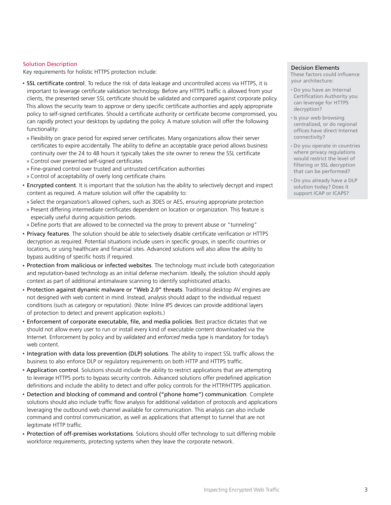#### Solution Description

Key requirements for holistic HTTPS protection include:

- SSL certificate control. To reduce the risk of data leakage and uncontrolled access via HTTPS, it is important to leverage certificate validation technology. Before any HTTPS traffic is allowed from your clients, the presented server SSL certificate should be validated and compared against corporate policy. This allows the security team to approve or deny specific certificate authorities and apply appropriate policy to self-signed certificates. Should a certificate authority or certificate become compromised, you can rapidly protect your desktops by updating the policy. A mature solution will offer the following functionality:
- » Flexibility on grace period for expired server certificates. Many organizations allow their server certificates to expire accidentally. The ability to define an acceptable grace period allows business continuity over the 24 to 48 hours it typically takes the site owner to renew the SSL certificate
- » Control over presented self-signed certificates
- » Fine-grained control over trusted and untrusted certification authorities
- » Control of acceptability of overly long certificate chains
- Encrypted content. It is important that the solution has the ability to selectively decrypt and inspect content as required. A mature solution will offer the capability to:
	- » Select the organization's allowed ciphers, such as 3DES or AES, ensuring appropriate protection
- » Present differing intermediate certificates dependent on location or organization. This feature is especially useful during acquisition periods.
- » Define ports that are allowed to be connected via the proxy to prevent abuse or "tunneling"
- Privacy features. The solution should be able to selectively disable certificate verification or HTTPS decryption as required. Potential situations include users in specific groups, in specific countries or locations, or using healthcare and financial sites. Advanced solutions will also allow the ability to bypass auditing of specific hosts if required.
- Protection from malicious or infected websites. The technology must include both categorization and reputation-based technology as an initial defense mechanism. Ideally, the solution should apply context as part of additional antimalware scanning to identify sophisticated attacks.
- • Protection against dynamic malware or "Web 2.0" threats. Traditional desktop AV engines are not designed with web content in mind. Instead, analysis should adapt to the individual request conditions (such as category or reputation). (Note: Inline IPS devices can provide additional layers of protection to detect and prevent application exploits.)
- • Enforcement of corporate executable, file, and media policies. Best practice dictates that we should not allow every user to run or install every kind of executable content downloaded via the Internet. Enforcement by policy and by *validated* and *enforced* media type is mandatory for today's web content.
- • Integration with data loss prevention (DLP) solutions. The ability to inspect SSL traffic allows the business to also enforce DLP or regulatory requirements on both HTTP and HTTPS traffic.
- Application control. Solutions should include the ability to restrict applications that are attempting to leverage HTTPS ports to bypass security controls. Advanced solutions offer predefined application definitions and include the ability to detect and offer policy controls for the HTTP/HTTPS application.
- • Detection and blocking of command and control ("phone home") communication. Complete solutions should also include traffic flow analysis for additional validation of protocols and applications leveraging the outbound web channel available for communication. This analysis can also include command and control communication, as well as applications that attempt to tunnel that are not legitimate HTTP traffic.
- Protection of off-premises workstations. Solutions should offer technology to suit differing mobile workforce requirements, protecting systems when they leave the corporate network.

#### Decision Elements

These factors could influence your architecture:

- • Do you have an Internal Certification Authority you can leverage for HTTPS decryption?
- • Is your web browsing centralized, or do regional offices have direct Internet connectivity?
- • Do you operate in countries where privacy regulations would restrict the level of filtering or SSL decryption that can be performed?
- • Do you already have a DLP solution today? Does it support ICAP or ICAPS?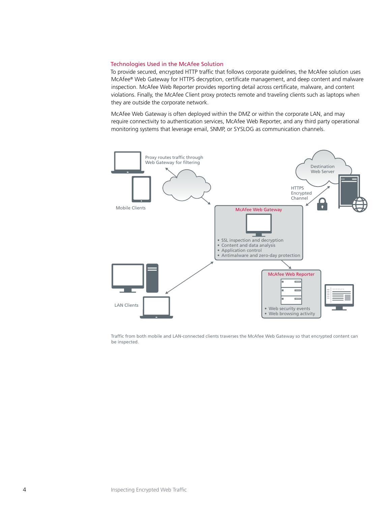## Technologies Used in the McAfee Solution

To provide secured, encrypted HTTP traffic that follows corporate guidelines, the McAfee solution uses McAfee® Web Gateway for HTTPS decryption, certificate management, and deep content and malware inspection. McAfee Web Reporter provides reporting detail across certificate, malware, and content violations. Finally, the McAfee Client proxy protects remote and traveling clients such as laptops when they are outside the corporate network.

McAfee Web Gateway is often deployed within the DMZ or within the corporate LAN, and may require connectivity to authentication services, McAfee Web Reporter, and any third party operational monitoring systems that leverage email, SNMP, or SYSLOG as communication channels.



Traffic from both mobile and LAN-connected clients traverses the McAfee Web Gateway so that encrypted content can be inspected.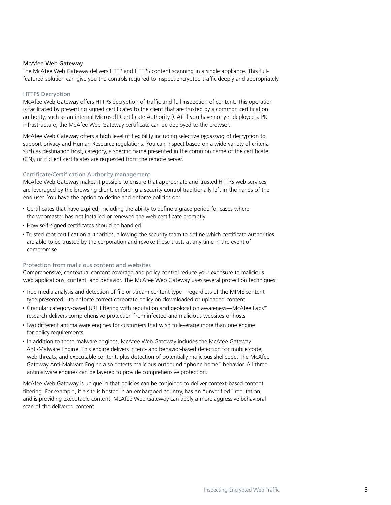## McAfee Web Gateway

The McAfee Web Gateway delivers HTTP and HTTPS content scanning in a single appliance. This fullfeatured solution can give you the controls required to inspect encrypted traffic deeply and appropriately.

### HTTPS Decryption

McAfee Web Gateway offers HTTPS decryption of traffic and full inspection of content. This operation is facilitated by presenting signed certificates to the client that are trusted by a common certification authority, such as an internal Microsoft Certificate Authority (CA). If you have not yet deployed a PKI infrastructure, the McAfee Web Gateway certificate can be deployed to the browser.

McAfee Web Gateway offers a high level of flexibility including selective *bypassing* of decryption to support privacy and Human Resource regulations. You can inspect based on a wide variety of criteria such as destination host, category, a specific name presented in the common name of the certificate (CN), or if client certificates are requested from the remote server.

#### Certificate/Certification Authority management

McAfee Web Gateway makes it possible to ensure that appropriate and trusted HTTPS web services are leveraged by the browsing client, enforcing a security control traditionally left in the hands of the end user. You have the option to define and enforce policies on:

- • Certificates that have expired, including the ability to define a grace period for cases where the webmaster has not installed or renewed the web certificate promptly
- How self-signed certificates should be handled
- • Trusted root certification authorities, allowing the security team to define which certificate authorities are able to be trusted by the corporation and revoke these trusts at any time in the event of compromise

## Protection from malicious content and websites

Comprehensive, contextual content coverage and policy control reduce your exposure to malicious web applications, content, and behavior. The McAfee Web Gateway uses several protection techniques:

- • True media analysis and detection of file or stream content type—regardless of the MIME content type presented—to enforce correct corporate policy on downloaded or uploaded content
- • Granular category-based URL filtering with reputation and geolocation awareness—McAfee Labs™ research delivers comprehensive protection from infected and malicious websites or hosts
- Two different antimalware engines for customers that wish to leverage more than one engine for policy requirements
- In addition to these malware engines, McAfee Web Gateway includes the McAfee Gateway Anti-Malware Engine. This engine delivers intent- and behavior-based detection for mobile code, web threats, and executable content, plus detection of potentially malicious shellcode. The McAfee Gateway Anti-Malware Engine also detects malicious outbound "phone home" behavior. All three antimalware engines can be layered to provide comprehensive protection.

McAfee Web Gateway is unique in that policies can be conjoined to deliver context-based content filtering. For example, if a site is hosted in an embargoed country, has an "unverified" reputation, and is providing executable content, McAfee Web Gateway can apply a more aggressive behavioral scan of the delivered content.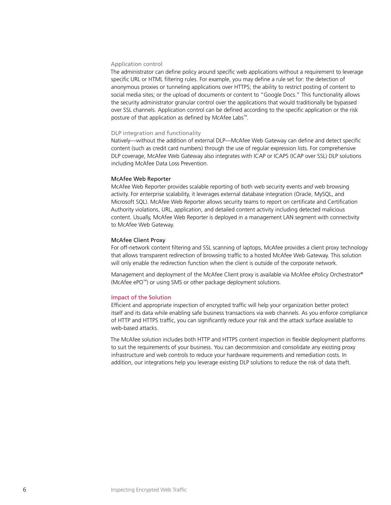#### Application control

The administrator can define policy around specific web applications without a requirement to leverage specific URL or HTML filtering rules. For example, you may define a rule set for: the detection of anonymous proxies or tunneling applications over HTTPS; the ability to restrict posting of content to social media sites; or the upload of documents or content to "Google Docs." This functionality allows the security administrator granular control over the applications that would traditionally be bypassed over SSL channels. Application control can be defined according to the specific application or the risk posture of that application as defined by McAfee Labs™.

#### DLP integration and functionality

Natively—without the addition of external DLP—McAfee Web Gateway can define and detect specific content (such as credit card numbers) through the use of regular expression lists. For comprehensive DLP coverage, McAfee Web Gateway also integrates with ICAP or ICAPS (ICAP over SSL) DLP solutions including McAfee Data Loss Prevention.

### McAfee Web Reporter

McAfee Web Reporter provides scalable reporting of both web security events *and* web browsing activity. For enterprise scalability, it leverages external database integration (Oracle, MySQL, and Microsoft SQL). McAfee Web Reporter allows security teams to report on certificate and Certification Authority violations, URL, application, and detailed content activity including detected malicious content. Usually, McAfee Web Reporter is deployed in a management LAN segment with connectivity to McAfee Web Gateway.

#### McAfee Client Proxy

For off-network content filtering and SSL scanning of laptops, McAfee provides a client proxy technology that allows transparent redirection of browsing traffic to a hosted McAfee Web Gateway. This solution will only enable the redirection function when the client is outside of the corporate network.

Management and deployment of the McAfee Client proxy is available via McAfee ePolicy Orchestrator® (McAfee ePO™) or using SMS or other package deployment solutions.

#### Impact of the Solution

Efficient and appropriate inspection of encrypted traffic will help your organization better protect itself and its data while enabling safe business transactions via web channels. As you enforce compliance of HTTP and HTTPS traffic, you can significantly reduce your risk and the attack surface available to web-based attacks.

The McAfee solution includes both HTTP and HTTPS content inspection in flexible deployment platforms to suit the requirements of your business. You can decommission and consolidate any existing proxy infrastructure and web controls to reduce your hardware requirements and remediation costs. In addition, our integrations help you leverage existing DLP solutions to reduce the risk of data theft.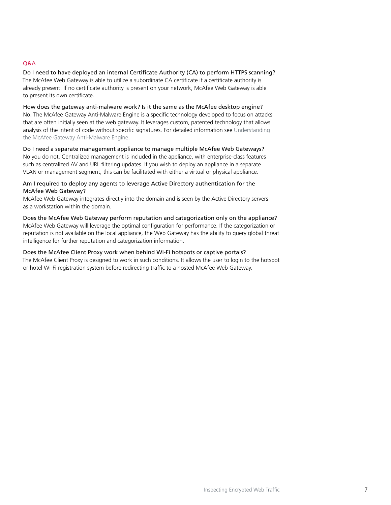# Q&A

Do I need to have deployed an internal Certificate Authority (CA) to perform HTTPS scanning? The McAfee Web Gateway is able to utilize a subordinate CA certificate if a certificate authority is already present. If no certificate authority is present on your network, McAfee Web Gateway is able to present its own certificate.

How does the gateway anti-malware work? Is it the same as the McAfee desktop engine? No. The McAfee Gateway Anti-Malware Engine is a specific technology developed to focus on attacks that are often initially seen at the web gateway. It leverages custom, patented technology that allows analysis of the intent of code without specific signatures. For detailed information see [Understanding](http://www.mcafee.com/us/resources/reports/rp-anti-malware-engines.pdf)  [the McAfee Gateway Anti-Malware Engine.](http://www.mcafee.com/us/resources/reports/rp-anti-malware-engines.pdf)

Do I need a separate management appliance to manage multiple McAfee Web Gateways? No you do not. Centralized management is included in the appliance, with enterprise-class features such as centralized AV and URL filtering updates. If you wish to deploy an appliance in a separate VLAN or management segment, this can be facilitated with either a virtual or physical appliance.

# Am I required to deploy any agents to leverage Active Directory authentication for the McAfee Web Gateway?

McAfee Web Gateway integrates directly into the domain and is seen by the Active Directory servers as a workstation within the domain.

Does the McAfee Web Gateway perform reputation and categorization only on the appliance? McAfee Web Gateway will leverage the optimal configuration for performance. If the categorization or reputation is not available on the local appliance, the Web Gateway has the ability to query global threat intelligence for further reputation and categorization information.

Does the McAfee Client Proxy work when behind Wi-Fi hotspots or captive portals? The McAfee Client Proxy is designed to work in such conditions. It allows the user to login to the hotspot or hotel Wi-Fi registration system before redirecting traffic to a hosted McAfee Web Gateway.